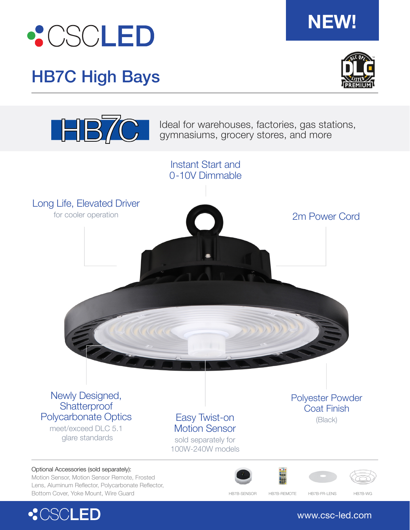

## HB7C High Bays



**NEW!**



Ideal for warehouses, factories, gas stations, gymnasiums, grocery stores, and more



## www.csc-led.com